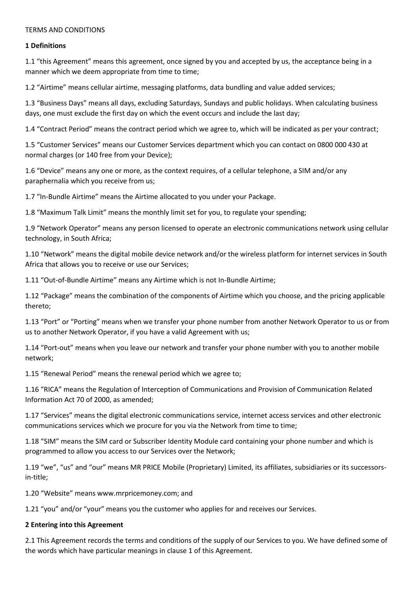#### TERMS AND CONDITIONS

#### **1 Definitions**

1.1 "this Agreement" means this agreement, once signed by you and accepted by us, the acceptance being in a manner which we deem appropriate from time to time;

1.2 "Airtime" means cellular airtime, messaging platforms, data bundling and value added services;

1.3 "Business Days" means all days, excluding Saturdays, Sundays and public holidays. When calculating business days, one must exclude the first day on which the event occurs and include the last day;

1.4 "Contract Period" means the contract period which we agree to, which will be indicated as per your contract;

1.5 "Customer Services" means our Customer Services department which you can contact on 0800 000 430 at normal charges (or 140 free from your Device);

1.6 "Device" means any one or more, as the context requires, of a cellular telephone, a SIM and/or any paraphernalia which you receive from us;

1.7 "In-Bundle Airtime" means the Airtime allocated to you under your Package.

1.8 "Maximum Talk Limit" means the monthly limit set for you, to regulate your spending;

1.9 "Network Operator" means any person licensed to operate an electronic communications network using cellular technology, in South Africa;

1.10 "Network" means the digital mobile device network and/or the wireless platform for internet services in South Africa that allows you to receive or use our Services;

1.11 "Out-of-Bundle Airtime" means any Airtime which is not In-Bundle Airtime;

1.12 "Package" means the combination of the components of Airtime which you choose, and the pricing applicable thereto;

1.13 "Port" or "Porting" means when we transfer your phone number from another Network Operator to us or from us to another Network Operator, if you have a valid Agreement with us;

1.14 "Port-out" means when you leave our network and transfer your phone number with you to another mobile network;

1.15 "Renewal Period" means the renewal period which we agree to;

1.16 "RICA" means the Regulation of Interception of Communications and Provision of Communication Related Information Act 70 of 2000, as amended;

1.17 "Services" means the digital electronic communications service, internet access services and other electronic communications services which we procure for you via the Network from time to time;

1.18 "SIM" means the SIM card or Subscriber Identity Module card containing your phone number and which is programmed to allow you access to our Services over the Network;

1.19 "we", "us" and "our" means MR PRICE Mobile (Proprietary) Limited, its affiliates, subsidiaries or its successorsin-title;

1.20 "Website" means www.mrpricemoney.com; and

1.21 "you" and/or "your" means you the customer who applies for and receives our Services.

#### **2 Entering into this Agreement**

2.1 This Agreement records the terms and conditions of the supply of our Services to you. We have defined some of the words which have particular meanings in clause 1 of this Agreement.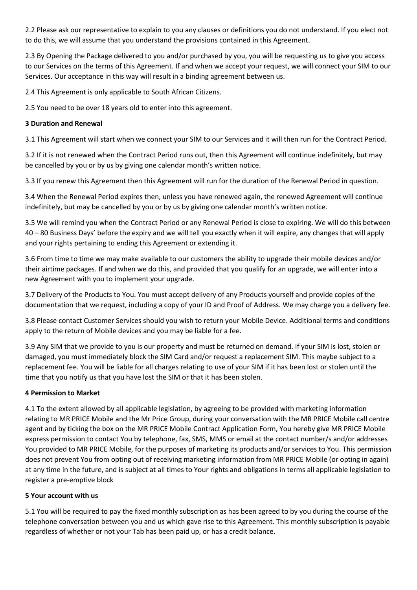2.2 Please ask our representative to explain to you any clauses or definitions you do not understand. If you elect not to do this, we will assume that you understand the provisions contained in this Agreement.

2.3 By Opening the Package delivered to you and/or purchased by you, you will be requesting us to give you access to our Services on the terms of this Agreement. If and when we accept your request, we will connect your SIM to our Services. Our acceptance in this way will result in a binding agreement between us.

2.4 This Agreement is only applicable to South African Citizens.

2.5 You need to be over 18 years old to enter into this agreement.

# **3 Duration and Renewal**

3.1 This Agreement will start when we connect your SIM to our Services and it will then run for the Contract Period.

3.2 If it is not renewed when the Contract Period runs out, then this Agreement will continue indefinitely, but may be cancelled by you or by us by giving one calendar month's written notice.

3.3 If you renew this Agreement then this Agreement will run for the duration of the Renewal Period in question.

3.4 When the Renewal Period expires then, unless you have renewed again, the renewed Agreement will continue indefinitely, but may be cancelled by you or by us by giving one calendar month's written notice.

3.5 We will remind you when the Contract Period or any Renewal Period is close to expiring. We will do this between 40 – 80 Business Days' before the expiry and we will tell you exactly when it will expire, any changes that will apply and your rights pertaining to ending this Agreement or extending it.

3.6 From time to time we may make available to our customers the ability to upgrade their mobile devices and/or their airtime packages. If and when we do this, and provided that you qualify for an upgrade, we will enter into a new Agreement with you to implement your upgrade.

3.7 Delivery of the Products to You. You must accept delivery of any Products yourself and provide copies of the documentation that we request, including a copy of your ID and Proof of Address. We may charge you a delivery fee.

3.8 Please contact Customer Services should you wish to return your Mobile Device. Additional terms and conditions apply to the return of Mobile devices and you may be liable for a fee.

3.9 Any SIM that we provide to you is our property and must be returned on demand. If your SIM is lost, stolen or damaged, you must immediately block the SIM Card and/or request a replacement SIM. This maybe subject to a replacement fee. You will be liable for all charges relating to use of your SIM if it has been lost or stolen until the time that you notify us that you have lost the SIM or that it has been stolen.

# **4 Permission to Market**

4.1 To the extent allowed by all applicable legislation, by agreeing to be provided with marketing information relating to MR PRICE Mobile and the Mr Price Group, during your conversation with the MR PRICE Mobile call centre agent and by ticking the box on the MR PRICE Mobile Contract Application Form, You hereby give MR PRICE Mobile express permission to contact You by telephone, fax, SMS, MMS or email at the contact number/s and/or addresses You provided to MR PRICE Mobile, for the purposes of marketing its products and/or services to You. This permission does not prevent You from opting out of receiving marketing information from MR PRICE Mobile (or opting in again) at any time in the future, and is subject at all times to Your rights and obligations in terms all applicable legislation to register a pre-emptive block

# **5 Your account with us**

5.1 You will be required to pay the fixed monthly subscription as has been agreed to by you during the course of the telephone conversation between you and us which gave rise to this Agreement. This monthly subscription is payable regardless of whether or not your Tab has been paid up, or has a credit balance.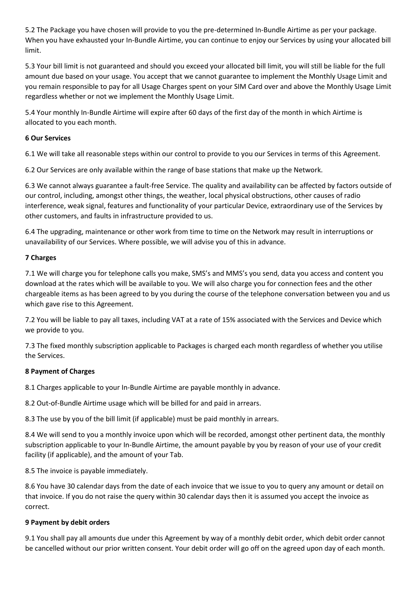5.2 The Package you have chosen will provide to you the pre-determined In-Bundle Airtime as per your package. When you have exhausted your In-Bundle Airtime, you can continue to enjoy our Services by using your allocated bill limit.

5.3 Your bill limit is not guaranteed and should you exceed your allocated bill limit, you will still be liable for the full amount due based on your usage. You accept that we cannot guarantee to implement the Monthly Usage Limit and you remain responsible to pay for all Usage Charges spent on your SIM Card over and above the Monthly Usage Limit regardless whether or not we implement the Monthly Usage Limit.

5.4 Your monthly In-Bundle Airtime will expire after 60 days of the first day of the month in which Airtime is allocated to you each month.

## **6 Our Services**

6.1 We will take all reasonable steps within our control to provide to you our Services in terms of this Agreement.

6.2 Our Services are only available within the range of base stations that make up the Network.

6.3 We cannot always guarantee a fault-free Service. The quality and availability can be affected by factors outside of our control, including, amongst other things, the weather, local physical obstructions, other causes of radio interference, weak signal, features and functionality of your particular Device, extraordinary use of the Services by other customers, and faults in infrastructure provided to us.

6.4 The upgrading, maintenance or other work from time to time on the Network may result in interruptions or unavailability of our Services. Where possible, we will advise you of this in advance.

## **7 Charges**

7.1 We will charge you for telephone calls you make, SMS's and MMS's you send, data you access and content you download at the rates which will be available to you. We will also charge you for connection fees and the other chargeable items as has been agreed to by you during the course of the telephone conversation between you and us which gave rise to this Agreement.

7.2 You will be liable to pay all taxes, including VAT at a rate of 15% associated with the Services and Device which we provide to you.

7.3 The fixed monthly subscription applicable to Packages is charged each month regardless of whether you utilise the Services.

#### **8 Payment of Charges**

8.1 Charges applicable to your In-Bundle Airtime are payable monthly in advance.

8.2 Out-of-Bundle Airtime usage which will be billed for and paid in arrears.

8.3 The use by you of the bill limit (if applicable) must be paid monthly in arrears.

8.4 We will send to you a monthly invoice upon which will be recorded, amongst other pertinent data, the monthly subscription applicable to your In-Bundle Airtime, the amount payable by you by reason of your use of your credit facility (if applicable), and the amount of your Tab.

8.5 The invoice is payable immediately.

8.6 You have 30 calendar days from the date of each invoice that we issue to you to query any amount or detail on that invoice. If you do not raise the query within 30 calendar days then it is assumed you accept the invoice as correct.

# **9 Payment by debit orders**

9.1 You shall pay all amounts due under this Agreement by way of a monthly debit order, which debit order cannot be cancelled without our prior written consent. Your debit order will go off on the agreed upon day of each month.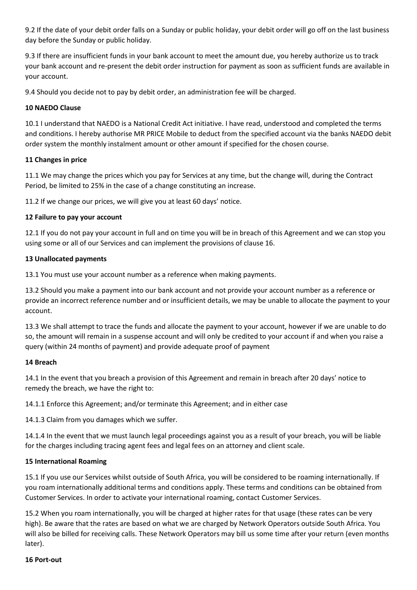9.2 If the date of your debit order falls on a Sunday or public holiday, your debit order will go off on the last business day before the Sunday or public holiday.

9.3 If there are insufficient funds in your bank account to meet the amount due, you hereby authorize us to track your bank account and re-present the debit order instruction for payment as soon as sufficient funds are available in your account.

9.4 Should you decide not to pay by debit order, an administration fee will be charged.

## **10 NAEDO Clause**

10.1 I understand that NAEDO is a National Credit Act initiative. I have read, understood and completed the terms and conditions. I hereby authorise MR PRICE Mobile to deduct from the specified account via the banks NAEDO debit order system the monthly instalment amount or other amount if specified for the chosen course.

## **11 Changes in price**

11.1 We may change the prices which you pay for Services at any time, but the change will, during the Contract Period, be limited to 25% in the case of a change constituting an increase.

11.2 If we change our prices, we will give you at least 60 days' notice.

## **12 Failure to pay your account**

12.1 If you do not pay your account in full and on time you will be in breach of this Agreement and we can stop you using some or all of our Services and can implement the provisions of clause 16.

## **13 Unallocated payments**

13.1 You must use your account number as a reference when making payments.

13.2 Should you make a payment into our bank account and not provide your account number as a reference or provide an incorrect reference number and or insufficient details, we may be unable to allocate the payment to your account.

13.3 We shall attempt to trace the funds and allocate the payment to your account, however if we are unable to do so, the amount will remain in a suspense account and will only be credited to your account if and when you raise a query (within 24 months of payment) and provide adequate proof of payment

#### **14 Breach**

14.1 In the event that you breach a provision of this Agreement and remain in breach after 20 days' notice to remedy the breach, we have the right to:

14.1.1 Enforce this Agreement; and/or terminate this Agreement; and in either case

14.1.3 Claim from you damages which we suffer.

14.1.4 In the event that we must launch legal proceedings against you as a result of your breach, you will be liable for the charges including tracing agent fees and legal fees on an attorney and client scale.

# **15 International Roaming**

15.1 If you use our Services whilst outside of South Africa, you will be considered to be roaming internationally. If you roam internationally additional terms and conditions apply. These terms and conditions can be obtained from Customer Services. In order to activate your international roaming, contact Customer Services.

15.2 When you roam internationally, you will be charged at higher rates for that usage (these rates can be very high). Be aware that the rates are based on what we are charged by Network Operators outside South Africa. You will also be billed for receiving calls. These Network Operators may bill us some time after your return (even months later).

#### **16 Port-out**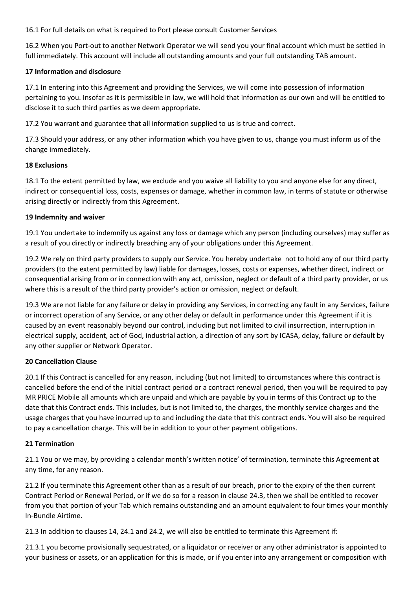16.1 For full details on what is required to Port please consult Customer Services

16.2 When you Port-out to another Network Operator we will send you your final account which must be settled in full immediately. This account will include all outstanding amounts and your full outstanding TAB amount.

## **17 Information and disclosure**

17.1 In entering into this Agreement and providing the Services, we will come into possession of information pertaining to you. Insofar as it is permissible in law, we will hold that information as our own and will be entitled to disclose it to such third parties as we deem appropriate.

17.2 You warrant and guarantee that all information supplied to us is true and correct.

17.3 Should your address, or any other information which you have given to us, change you must inform us of the change immediately.

## **18 Exclusions**

18.1 To the extent permitted by law, we exclude and you waive all liability to you and anyone else for any direct, indirect or consequential loss, costs, expenses or damage, whether in common law, in terms of statute or otherwise arising directly or indirectly from this Agreement.

## **19 Indemnity and waiver**

19.1 You undertake to indemnify us against any loss or damage which any person (including ourselves) may suffer as a result of you directly or indirectly breaching any of your obligations under this Agreement.

19.2 We rely on third party providers to supply our Service. You hereby undertake not to hold any of our third party providers (to the extent permitted by law) liable for damages, losses, costs or expenses, whether direct, indirect or consequential arising from or in connection with any act, omission, neglect or default of a third party provider, or us where this is a result of the third party provider's action or omission, neglect or default.

19.3 We are not liable for any failure or delay in providing any Services, in correcting any fault in any Services, failure or incorrect operation of any Service, or any other delay or default in performance under this Agreement if it is caused by an event reasonably beyond our control, including but not limited to civil insurrection, interruption in electrical supply, accident, act of God, industrial action, a direction of any sort by ICASA, delay, failure or default by any other supplier or Network Operator.

# **20 Cancellation Clause**

20.1 If this Contract is cancelled for any reason, including (but not limited) to circumstances where this contract is cancelled before the end of the initial contract period or a contract renewal period, then you will be required to pay MR PRICE Mobile all amounts which are unpaid and which are payable by you in terms of this Contract up to the date that this Contract ends. This includes, but is not limited to, the charges, the monthly service charges and the usage charges that you have incurred up to and including the date that this contract ends. You will also be required to pay a cancellation charge. This will be in addition to your other payment obligations.

#### **21 Termination**

21.1 You or we may, by providing a calendar month's written notice' of termination, terminate this Agreement at any time, for any reason.

21.2 If you terminate this Agreement other than as a result of our breach, prior to the expiry of the then current Contract Period or Renewal Period, or if we do so for a reason in clause 24.3, then we shall be entitled to recover from you that portion of your Tab which remains outstanding and an amount equivalent to four times your monthly In-Bundle Airtime.

21.3 In addition to clauses 14, 24.1 and 24.2, we will also be entitled to terminate this Agreement if:

21.3.1 you become provisionally sequestrated, or a liquidator or receiver or any other administrator is appointed to your business or assets, or an application for this is made, or if you enter into any arrangement or composition with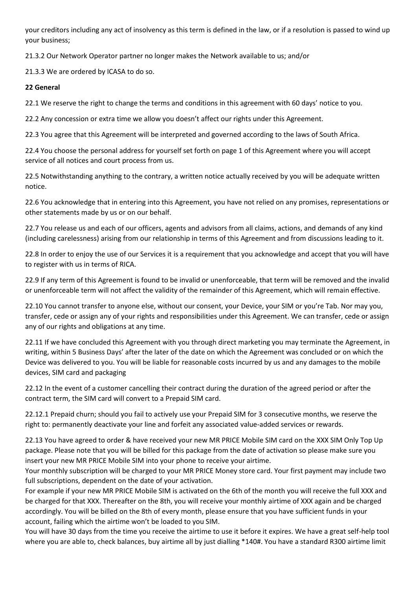your creditors including any act of insolvency as this term is defined in the law, or if a resolution is passed to wind up your business;

21.3.2 Our Network Operator partner no longer makes the Network available to us; and/or

21.3.3 We are ordered by ICASA to do so.

# **22 General**

22.1 We reserve the right to change the terms and conditions in this agreement with 60 days' notice to you.

22.2 Any concession or extra time we allow you doesn't affect our rights under this Agreement.

22.3 You agree that this Agreement will be interpreted and governed according to the laws of South Africa.

22.4 You choose the personal address for yourself set forth on page 1 of this Agreement where you will accept service of all notices and court process from us.

22.5 Notwithstanding anything to the contrary, a written notice actually received by you will be adequate written notice.

22.6 You acknowledge that in entering into this Agreement, you have not relied on any promises, representations or other statements made by us or on our behalf.

22.7 You release us and each of our officers, agents and advisors from all claims, actions, and demands of any kind (including carelessness) arising from our relationship in terms of this Agreement and from discussions leading to it.

22.8 In order to enjoy the use of our Services it is a requirement that you acknowledge and accept that you will have to register with us in terms of RICA.

22.9 If any term of this Agreement is found to be invalid or unenforceable, that term will be removed and the invalid or unenforceable term will not affect the validity of the remainder of this Agreement, which will remain effective.

22.10 You cannot transfer to anyone else, without our consent, your Device, your SIM or you're Tab. Nor may you, transfer, cede or assign any of your rights and responsibilities under this Agreement. We can transfer, cede or assign any of our rights and obligations at any time.

22.11 If we have concluded this Agreement with you through direct marketing you may terminate the Agreement, in writing, within 5 Business Days' after the later of the date on which the Agreement was concluded or on which the Device was delivered to you. You will be liable for reasonable costs incurred by us and any damages to the mobile devices, SIM card and packaging

22.12 In the event of a customer cancelling their contract during the duration of the agreed period or after the contract term, the SIM card will convert to a Prepaid SIM card.

22.12.1 Prepaid churn; should you fail to actively use your Prepaid SIM for 3 consecutive months, we reserve the right to: permanently deactivate your line and forfeit any associated value-added services or rewards.

22.13 You have agreed to order & have received your new MR PRICE Mobile SIM card on the XXX SIM Only Top Up package. Please note that you will be billed for this package from the date of activation so please make sure you insert your new MR PRICE Mobile SIM into your phone to receive your airtime.

Your monthly subscription will be charged to your MR PRICE Money store card. Your first payment may include two full subscriptions, dependent on the date of your activation.

For example if your new MR PRICE Mobile SIM is activated on the 6th of the month you will receive the full XXX and be charged for that XXX. Thereafter on the 8th, you will receive your monthly airtime of XXX again and be charged accordingly. You will be billed on the 8th of every month, please ensure that you have sufficient funds in your account, failing which the airtime won't be loaded to you SIM.

You will have 30 days from the time you receive the airtime to use it before it expires. We have a great self-help tool where you are able to, check balances, buy airtime all by just dialling \*140#. You have a standard R300 airtime limit